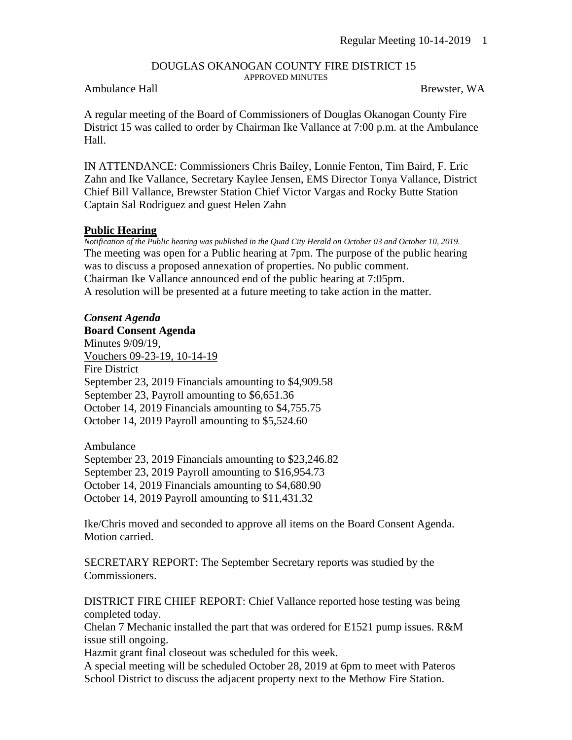#### DOUGLAS OKANOGAN COUNTY FIRE DISTRICT 15 APPROVED MINUTES

### Ambulance Hall **Brewster, WA**

A regular meeting of the Board of Commissioners of Douglas Okanogan County Fire District 15 was called to order by Chairman Ike Vallance at 7:00 p.m. at the Ambulance Hall.

IN ATTENDANCE: Commissioners Chris Bailey, Lonnie Fenton, Tim Baird, F. Eric Zahn and Ike Vallance, Secretary Kaylee Jensen, EMS Director Tonya Vallance, District Chief Bill Vallance, Brewster Station Chief Victor Vargas and Rocky Butte Station Captain Sal Rodriguez and guest Helen Zahn

### **Public Hearing**

*Notification of the Public hearing was published in the Quad City Herald on October 03 and October 10, 2019.* The meeting was open for a Public hearing at 7pm. The purpose of the public hearing was to discuss a proposed annexation of properties. No public comment. Chairman Ike Vallance announced end of the public hearing at 7:05pm. A resolution will be presented at a future meeting to take action in the matter.

# *Consent Agenda*

**Board Consent Agenda** Minutes 9/09/19, Vouchers 09-23-19, 10-14-19 Fire District September 23, 2019 Financials amounting to \$4,909.58 September 23, Payroll amounting to \$6,651.36 October 14, 2019 Financials amounting to \$4,755.75 October 14, 2019 Payroll amounting to \$5,524.60

Ambulance September 23, 2019 Financials amounting to \$23,246.82 September 23, 2019 Payroll amounting to \$16,954.73 October 14, 2019 Financials amounting to \$4,680.90 October 14, 2019 Payroll amounting to \$11,431.32

Ike/Chris moved and seconded to approve all items on the Board Consent Agenda. Motion carried.

SECRETARY REPORT: The September Secretary reports was studied by the Commissioners.

DISTRICT FIRE CHIEF REPORT: Chief Vallance reported hose testing was being completed today.

Chelan 7 Mechanic installed the part that was ordered for E1521 pump issues. R&M issue still ongoing.

Hazmit grant final closeout was scheduled for this week.

A special meeting will be scheduled October 28, 2019 at 6pm to meet with Pateros School District to discuss the adjacent property next to the Methow Fire Station.